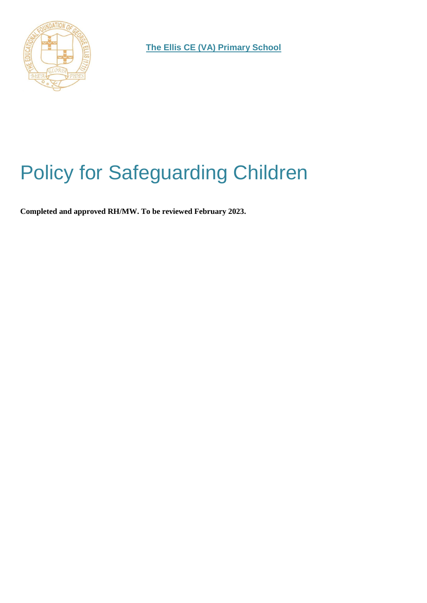

**The Ellis CE (VA) Primary School**

# Policy for Safeguarding Children

**Completed and approved RH/MW. To be reviewed February 2023.**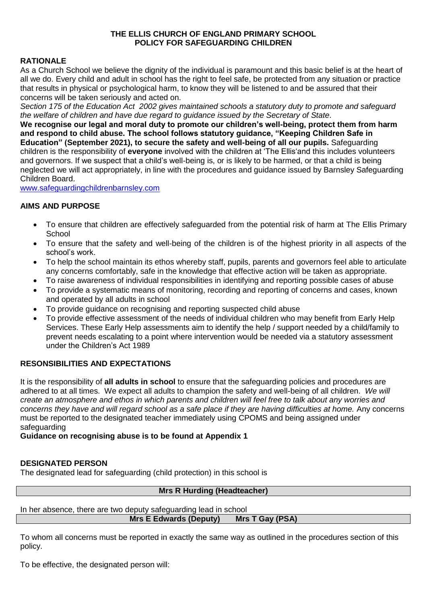#### **THE ELLIS CHURCH OF ENGLAND PRIMARY SCHOOL POLICY FOR SAFEGUARDING CHILDREN**

#### **RATIONALE**

As a Church School we believe the dignity of the individual is paramount and this basic belief is at the heart of all we do. Every child and adult in school has the right to feel safe, be protected from any situation or practice that results in physical or psychological harm, to know they will be listened to and be assured that their concerns will be taken seriously and acted on.

*Section 175 of the Education Act 2002 gives maintained schools a statutory duty to promote and safeguard the welfare of children and have due regard to guidance issued by the Secretary of State*.

**We recognise our legal and moral duty to promote our children's well-being, protect them from harm and respond to child abuse. The school follows statutory guidance, "Keeping Children Safe in Education" (September 2021), to secure the safety and well-being of all our pupils.** Safeguarding children is the responsibility of **everyone** involved with the children at 'The Ellis'and this includes volunteers and governors. If we suspect that a child's well-being is, or is likely to be harmed, or that a child is being neglected we will act appropriately, in line with the procedures and guidance issued by Barnsley Safeguarding Children Board.

www.safeguardingchildrenbarnsley.com

#### **AIMS AND PURPOSE**

- To ensure that children are effectively safeguarded from the potential risk of harm at The Ellis Primary **School**
- To ensure that the safety and well-being of the children is of the highest priority in all aspects of the school's work.
- To help the school maintain its ethos whereby staff, pupils, parents and governors feel able to articulate any concerns comfortably, safe in the knowledge that effective action will be taken as appropriate.
- To raise awareness of individual responsibilities in identifying and reporting possible cases of abuse
- To provide a systematic means of monitoring, recording and reporting of concerns and cases, known and operated by all adults in school
- To provide guidance on recognising and reporting suspected child abuse
- To provide effective assessment of the needs of individual children who may benefit from Early Help Services. These Early Help assessments aim to identify the help / support needed by a child/family to prevent needs escalating to a point where intervention would be needed via a statutory assessment under the Children's Act 1989

#### **RESONSIBILITIES AND EXPECTATIONS**

It is the responsibility of **all adults in school** to ensure that the safeguarding policies and procedures are adhered to at all times. We expect all adults to champion the safety and well-being of all children. *We will create an atmosphere and ethos in which parents and children will feel free to talk about any worries and concerns they have and will regard school as a safe place if they are having difficulties at home.* Any concerns must be reported to the designated teacher immediately using CPOMS and being assigned under safeguarding

#### **Guidance on recognising abuse is to be found at Appendix 1**

#### **DESIGNATED PERSON**

The designated lead for safeguarding (child protection) in this school is

#### **Mrs R Hurding (Headteacher)**

#### In her absence, there are two deputy safeguarding lead in school

**Mrs E Edwards (Deputy) Mrs T Gay (PSA)**

To whom all concerns must be reported in exactly the same way as outlined in the procedures section of this policy.

To be effective, the designated person will: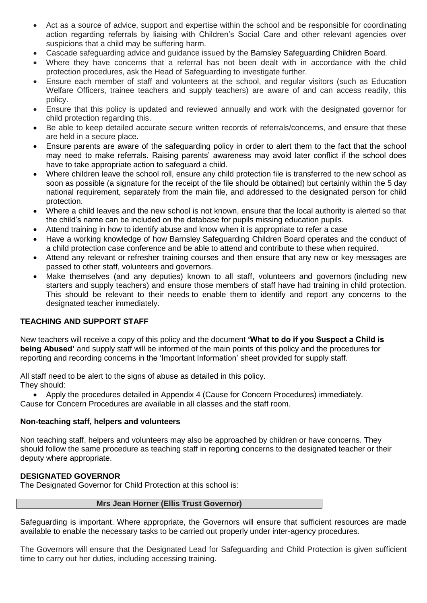- Act as a source of advice, support and expertise within the school and be responsible for coordinating action regarding referrals by liaising with Children's Social Care and other relevant agencies over suspicions that a child may be suffering harm.
- Cascade safeguarding advice and guidance issued by the Barnsley Safeguarding Children Board.
- Where they have concerns that a referral has not been dealt with in accordance with the child protection procedures, ask the Head of Safeguarding to investigate further.
- Ensure each member of staff and volunteers at the school, and regular visitors (such as Education Welfare Officers, trainee teachers and supply teachers) are aware of and can access readily, this policy.
- Ensure that this policy is updated and reviewed annually and work with the designated governor for child protection regarding this.
- Be able to keep detailed accurate secure written records of referrals/concerns, and ensure that these are held in a secure place.
- Ensure parents are aware of the safeguarding policy in order to alert them to the fact that the school may need to make referrals. Raising parents' awareness may avoid later conflict if the school does have to take appropriate action to safeguard a child.
- Where children leave the school roll, ensure any child protection file is transferred to the new school as soon as possible (a signature for the receipt of the file should be obtained) but certainly within the 5 day national requirement, separately from the main file, and addressed to the designated person for child protection.
- Where a child leaves and the new school is not known, ensure that the local authority is alerted so that the child's name can be included on the database for pupils missing education pupils.
- Attend training in how to identify abuse and know when it is appropriate to refer a case
- Have a working knowledge of how Barnsley Safeguarding Children Board operates and the conduct of a child protection case conference and be able to attend and contribute to these when required.
- Attend any relevant or refresher training courses and then ensure that any new or key messages are passed to other staff, volunteers and governors.
- Make themselves (and any deputies) known to all staff, volunteers and governors (including new starters and supply teachers) and ensure those members of staff have had training in child protection. This should be relevant to their needs to enable them to identify and report any concerns to the designated teacher immediately.

#### **TEACHING AND SUPPORT STAFF**

New teachers will receive a copy of this policy and the document **'What to do if you Suspect a Child is being Abused'** and supply staff will be informed of the main points of this policy and the procedures for reporting and recording concerns in the 'Important Information' sheet provided for supply staff.

All staff need to be alert to the signs of abuse as detailed in this policy. They should:

 Apply the procedures detailed in Appendix 4 (Cause for Concern Procedures) immediately. Cause for Concern Procedures are available in all classes and the staff room.

#### **Non-teaching staff, helpers and volunteers**

Non teaching staff, helpers and volunteers may also be approached by children or have concerns. They should follow the same procedure as teaching staff in reporting concerns to the designated teacher or their deputy where appropriate.

#### **DESIGNATED GOVERNOR**

The Designated Governor for Child Protection at this school is:

Safeguarding is important. Where appropriate, the Governors will ensure that sufficient resources are made available to enable the necessary tasks to be carried out properly under inter-agency procedures.

The Governors will ensure that the Designated Lead for Safeguarding and Child Protection is given sufficient time to carry out her duties, including accessing training.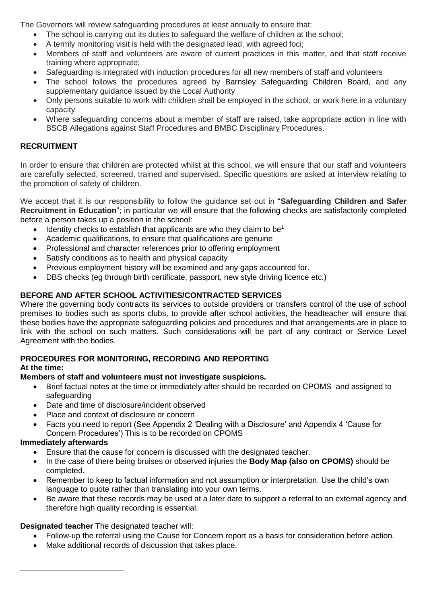The Governors will review safeguarding procedures at least annually to ensure that:

- The school is carrying out its duties to safeguard the welfare of children at the school;
- A termly monitoring visit is held with the designated lead, with agreed foci;
- Members of staff and volunteers are aware of current practices in this matter, and that staff receive training where appropriate;
- Safeguarding is integrated with induction procedures for all new members of staff and volunteers
- The school follows the procedures agreed by Barnsley Safeguarding Children Board, and any supplementary guidance issued by the Local Authority
- Only persons suitable to work with children shall be employed in the school, or work here in a voluntary capacity
- Where safeguarding concerns about a member of staff are raised, take appropriate action in line with BSCB Allegations against Staff Procedures and BMBC Disciplinary Procedures.

### **RECRUITMENT**

In order to ensure that children are protected whilst at this school, we will ensure that our staff and volunteers are carefully selected, screened, trained and supervised. Specific questions are asked at interview relating to the promotion of safety of children.

We accept that it is our responsibility to follow the guidance set out in "**Safeguarding Children and Safer Recruitment in Education**"; in particular we will ensure that the following checks are satisfactorily completed before a person takes up a position in the school:

- $\bullet$  Identity checks to establish that applicants are who they claim to be<sup>1</sup>
- Academic qualifications, to ensure that qualifications are genuine
- Professional and character references prior to offering employment
- Satisfy conditions as to health and physical capacity
- Previous employment history will be examined and any gaps accounted for.
- DBS checks (eg through birth certificate, passport, new style driving licence etc.)

### **BEFORE AND AFTER SCHOOL ACTIVITIES/CONTRACTED SERVICES**

Where the governing body contracts its services to outside providers or transfers control of the use of school premises to bodies such as sports clubs, to provide after school activities, the headteacher will ensure that these bodies have the appropriate safeguarding policies and procedures and that arrangements are in place to link with the school on such matters. Such considerations will be part of any contract or Service Level Agreement with the bodies.

#### **PROCEDURES FOR MONITORING, RECORDING AND REPORTING At the time:**

 $\overline{a}$ 

### **Members of staff and volunteers must not investigate suspicions.**

- Brief factual notes at the time or immediately after should be recorded on CPOMS and assigned to safeguarding
- Date and time of disclosure/incident observed
- Place and context of disclosure or concern
- Facts you need to report (See Appendix 2 'Dealing with a Disclosure' and Appendix 4 'Cause for Concern Procedures') This is to be recorded on CPOMS

### **Immediately afterwards**

- Ensure that the cause for concern is discussed with the designated teacher.
- In the case of there being bruises or observed injuries the **Body Map (also on CPOMS)** should be completed.
- Remember to keep to factual information and not assumption or interpretation. Use the child's own language to quote rather than translating into your own terms.
- Be aware that these records may be used at a later date to support a referral to an external agency and therefore high quality recording is essential.

### **Designated teacher** The designated teacher will:

- Follow-up the referral using the Cause for Concern report as a basis for consideration before action.
- Make additional records of discussion that takes place.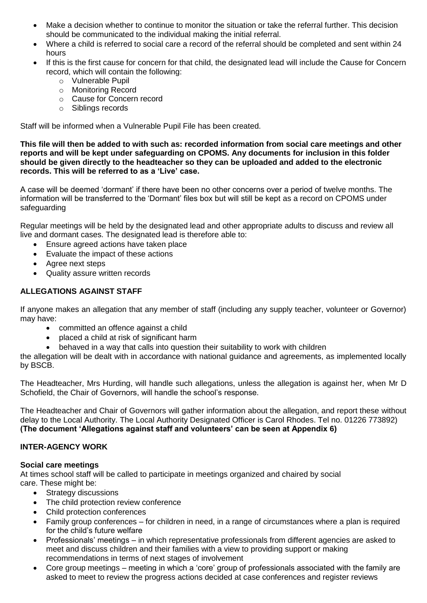- Make a decision whether to continue to monitor the situation or take the referral further. This decision should be communicated to the individual making the initial referral.
- Where a child is referred to social care a record of the referral should be completed and sent within 24 hours
- If this is the first cause for concern for that child, the designated lead will include the Cause for Concern record, which will contain the following:
	- o Vulnerable Pupil
	- o Monitoring Record
	- o Cause for Concern record
	- o Siblings records

Staff will be informed when a Vulnerable Pupil File has been created.

**This file will then be added to with such as: recorded information from social care meetings and other reports and will be kept under safeguarding on CPOMS. Any documents for inclusion in this folder should be given directly to the headteacher so they can be uploaded and added to the electronic records. This will be referred to as a 'Live' case.**

A case will be deemed 'dormant' if there have been no other concerns over a period of twelve months. The information will be transferred to the 'Dormant' files box but will still be kept as a record on CPOMS under safeguarding

Regular meetings will be held by the designated lead and other appropriate adults to discuss and review all live and dormant cases. The designated lead is therefore able to:

- Ensure agreed actions have taken place
- Evaluate the impact of these actions
- Agree next steps
- Quality assure written records

#### **ALLEGATIONS AGAINST STAFF**

If anyone makes an allegation that any member of staff (including any supply teacher, volunteer or Governor) may have:

- committed an offence against a child
- placed a child at risk of significant harm
- behaved in a way that calls into question their suitability to work with children

the allegation will be dealt with in accordance with national guidance and agreements, as implemented locally by BSCB.

The Headteacher, Mrs Hurding, will handle such allegations, unless the allegation is against her, when Mr D Schofield, the Chair of Governors, will handle the school's response.

The Headteacher and Chair of Governors will gather information about the allegation, and report these without delay to the Local Authority. The Local Authority Designated Officer is Carol Rhodes. Tel no. 01226 773892) **(The document 'Allegations against staff and volunteers' can be seen at Appendix 6)**

#### **INTER-AGENCY WORK**

#### **Social care meetings**

At times school staff will be called to participate in meetings organized and chaired by social care. These might be:

- Strategy discussions
- The child protection review conference
- Child protection conferences
- Family group conferences for children in need, in a range of circumstances where a plan is required for the child's future welfare
- Professionals' meetings in which representative professionals from different agencies are asked to meet and discuss children and their families with a view to providing support or making recommendations in terms of next stages of involvement
- Core group meetings meeting in which a 'core' group of professionals associated with the family are asked to meet to review the progress actions decided at case conferences and register reviews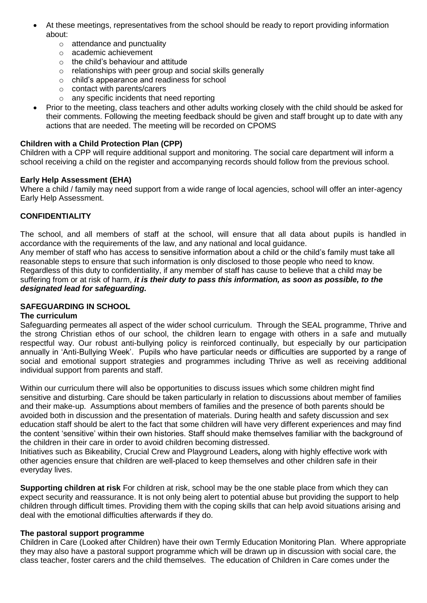- At these meetings, representatives from the school should be ready to report providing information about:
	- o attendance and punctuality
	- o academic achievement
	- $\circ$  the child's behaviour and attitude
	- o relationships with peer group and social skills generally
	- o child's appearance and readiness for school
	- o contact with parents/carers
	- o any specific incidents that need reporting
- Prior to the meeting, class teachers and other adults working closely with the child should be asked for their comments. Following the meeting feedback should be given and staff brought up to date with any actions that are needed. The meeting will be recorded on CPOMS

#### **Children with a Child Protection Plan (CPP)**

Children with a CPP will require additional support and monitoring. The social care department will inform a school receiving a child on the register and accompanying records should follow from the previous school.

#### **Early Help Assessment (EHA)**

Where a child / family may need support from a wide range of local agencies, school will offer an inter-agency Early Help Assessment.

#### **CONFIDENTIALITY**

The school, and all members of staff at the school, will ensure that all data about pupils is handled in accordance with the requirements of the law, and any national and local guidance.

Any member of staff who has access to sensitive information about a child or the child's family must take all reasonable steps to ensure that such information is only disclosed to those people who need to know. Regardless of this duty to confidentiality, if any member of staff has cause to believe that a child may be suffering from or at risk of harm, *it is their duty to pass this information, as soon as possible, to the designated lead for safeguarding.*

#### **SAFEGUARDING IN SCHOOL**

#### **The curriculum**

Safeguarding permeates all aspect of the wider school curriculum. Through the SEAL programme, Thrive and the strong Christian ethos of our school, the children learn to engage with others in a safe and mutually respectful way. Our robust anti-bullying policy is reinforced continually, but especially by our participation annually in 'Anti-Bullying Week'. Pupils who have particular needs or difficulties are supported by a range of social and emotional support strategies and programmes including Thrive as well as receiving additional individual support from parents and staff.

Within our curriculum there will also be opportunities to discuss issues which some children might find sensitive and disturbing. Care should be taken particularly in relation to discussions about member of families and their make-up. Assumptions about members of families and the presence of both parents should be avoided both in discussion and the presentation of materials. During health and safety discussion and sex education staff should be alert to the fact that some children will have very different experiences and may find the content 'sensitive' within their own histories. Staff should make themselves familiar with the background of the children in their care in order to avoid children becoming distressed.

Initiatives such as Bikeability, Crucial Crew and Playground Leaders**,** along with highly effective work with other agencies ensure that children are well-placed to keep themselves and other children safe in their everyday lives.

**Supporting children at risk** For children at risk, school may be the one stable place from which they can expect security and reassurance. It is not only being alert to potential abuse but providing the support to help children through difficult times. Providing them with the coping skills that can help avoid situations arising and deal with the emotional difficulties afterwards if they do.

#### **The pastoral support programme**

Children in Care (Looked after Children) have their own Termly Education Monitoring Plan. Where appropriate they may also have a pastoral support programme which will be drawn up in discussion with social care, the class teacher, foster carers and the child themselves. The education of Children in Care comes under the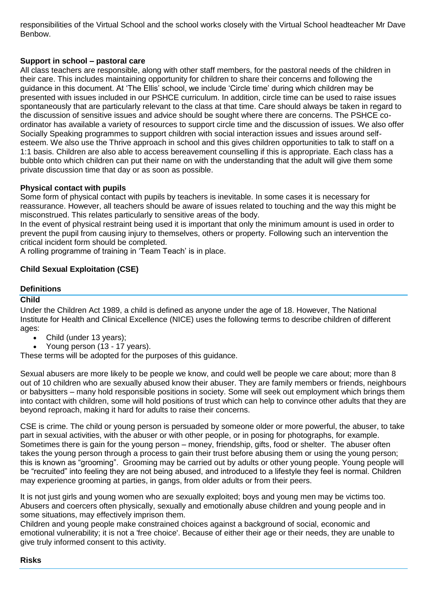responsibilities of the Virtual School and the school works closely with the Virtual School headteacher Mr Dave Benbow.

#### **Support in school – pastoral care**

All class teachers are responsible, along with other staff members, for the pastoral needs of the children in their care. This includes maintaining opportunity for children to share their concerns and following the guidance in this document. At 'The Ellis' school, we include 'Circle time' during which children may be presented with issues included in our PSHCE curriculum. In addition, circle time can be used to raise issues spontaneously that are particularly relevant to the class at that time. Care should always be taken in regard to the discussion of sensitive issues and advice should be sought where there are concerns. The PSHCE coordinator has available a variety of resources to support circle time and the discussion of issues. We also offer Socially Speaking programmes to support children with social interaction issues and issues around selfesteem. We also use the Thrive approach in school and this gives children opportunities to talk to staff on a 1:1 basis. Children are also able to access bereavement counselling if this is appropriate. Each class has a bubble onto which children can put their name on with the understanding that the adult will give them some private discussion time that day or as soon as possible.

#### **Physical contact with pupils**

Some form of physical contact with pupils by teachers is inevitable. In some cases it is necessary for reassurance. However, all teachers should be aware of issues related to touching and the way this might be misconstrued. This relates particularly to sensitive areas of the body.

In the event of physical restraint being used it is important that only the minimum amount is used in order to prevent the pupil from causing injury to themselves, others or property. Following such an intervention the critical incident form should be completed.

A rolling programme of training in 'Team Teach' is in place.

#### **Child Sexual Exploitation (CSE)**

#### **Definitions**

#### **Child**

Under the Children Act 1989, a child is defined as anyone under the age of 18. However, The National Institute for Health and Clinical Excellence (NICE) uses the following terms to describe children of different ages:

- Child (under 13 years);
- Young person (13 17 years).

These terms will be adopted for the purposes of this guidance.

Sexual abusers are more likely to be people we know, and could well be people we care about; more than 8 out of 10 children who are sexually abused know their abuser. They are family members or friends, neighbours or babysitters – many hold responsible positions in society. Some will seek out employment which brings them into contact with children, some will hold positions of trust which can help to convince other adults that they are beyond reproach, making it hard for adults to raise their concerns.

CSE is crime. The child or young person is persuaded by someone older or more powerful, the abuser, to take part in sexual activities, with the abuser or with other people, or in posing for photographs, for example. Sometimes there is gain for the young person – money, friendship, gifts, food or shelter. The abuser often takes the young person through a process to gain their trust before abusing them or using the young person; this is known as "grooming". Grooming may be carried out by adults or other young people. Young people will be "recruited" into feeling they are not being abused, and introduced to a lifestyle they feel is normal. Children may experience grooming at parties, in gangs, from older adults or from their peers.

It is not just girls and young women who are sexually exploited; boys and young men may be victims too. Abusers and coercers often physically, sexually and emotionally abuse children and young people and in some situations, may effectively imprison them.

Children and young people make constrained choices against a background of social, economic and emotional vulnerability; it is not a 'free choice'. Because of either their age or their needs, they are unable to give truly informed consent to this activity.

#### **Risks**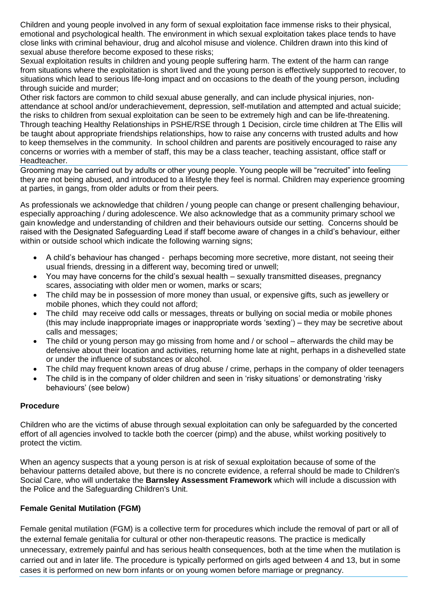Children and young people involved in any form of sexual exploitation face immense risks to their physical, emotional and psychological health. The environment in which sexual exploitation takes place tends to have close links with criminal behaviour, drug and alcohol misuse and violence. Children drawn into this kind of sexual abuse therefore become exposed to these risks;

Sexual exploitation results in children and young people suffering harm. The extent of the harm can range from situations where the exploitation is short lived and the young person is effectively supported to recover, to situations which lead to serious life-long impact and on occasions to the death of the young person, including through suicide and murder;

Other risk factors are common to child sexual abuse generally, and can include physical injuries, nonattendance at school and/or underachievement, depression, self-mutilation and attempted and actual suicide; the risks to children from sexual exploitation can be seen to be extremely high and can be life-threatening. Through teaching Healthy Relationships in PSHE/RSE through 1 Decision, circle time children at The Ellis will be taught about appropriate friendships relationships, how to raise any concerns with trusted adults and how to keep themselves in the community. In school children and parents are positively encouraged to raise any concerns or worries with a member of staff, this may be a class teacher, teaching assistant, office staff or Headteacher.

Grooming may be carried out by adults or other young people. Young people will be "recruited" into feeling they are not being abused, and introduced to a lifestyle they feel is normal. Children may experience grooming at parties, in gangs, from older adults or from their peers.

As professionals we acknowledge that children / young people can change or present challenging behaviour, especially approaching / during adolescence. We also acknowledge that as a community primary school we gain knowledge and understanding of children and their behaviours outside our setting. Concerns should be raised with the Designated Safeguarding Lead if staff become aware of changes in a child's behaviour, either within or outside school which indicate the following warning signs;

- A child's behaviour has changed perhaps becoming more secretive, more distant, not seeing their usual friends, dressing in a different way, becoming tired or unwell;
- You may have concerns for the child's sexual health sexually transmitted diseases, pregnancy scares, associating with older men or women, marks or scars;
- The child may be in possession of more money than usual, or expensive gifts, such as jewellery or mobile phones, which they could not afford;
- The child may receive odd calls or messages, threats or bullying on social media or mobile phones (this may include inappropriate images or inappropriate words 'sexting') – they may be secretive about calls and messages;
- The child or young person may go missing from home and / or school afterwards the child may be defensive about their location and activities, returning home late at night, perhaps in a dishevelled state or under the influence of substances or alcohol.
- The child may frequent known areas of drug abuse / crime, perhaps in the company of older teenagers
- The child is in the company of older children and seen in 'risky situations' or demonstrating 'risky behaviours' (see below)

#### **Procedure**

Children who are the victims of abuse through sexual exploitation can only be safeguarded by the concerted effort of all agencies involved to tackle both the coercer (pimp) and the abuse, whilst working positively to protect the victim.

When an agency suspects that a young person is at risk of sexual exploitation because of some of the behaviour patterns detailed above, but there is no concrete evidence, a referral should be made to Children's Social Care, who will undertake the **[Barnsley Assessment Framework](http://www.proceduresonline.com/barnsley/scb/local_keywords/barns_assess_fw.html)** which will include a discussion with the Police and the Safeguarding Children's Unit.

#### **Female Genital Mutilation (FGM)**

Female genital mutilation (FGM) is a collective term for procedures which include the removal of part or all of the external female genitalia for cultural or other non-therapeutic reasons. The practice is medically unnecessary, extremely painful and has serious health consequences, both at the time when the mutilation is carried out and in later life. The procedure is typically performed on girls aged between 4 and 13, but in some cases it is performed on new born infants or on young women before marriage or pregnancy.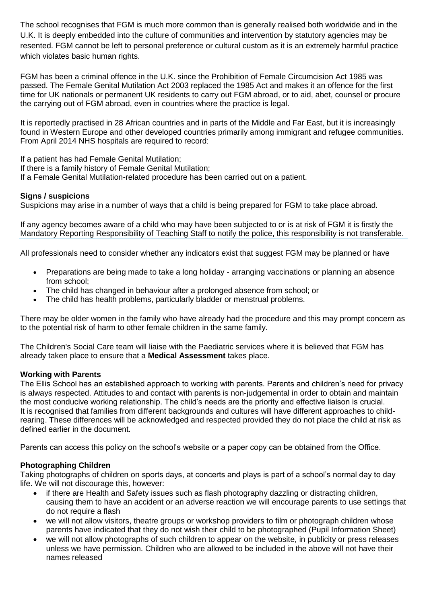The school recognises that FGM is much more common than is generally realised both worldwide and in the U.K. It is deeply embedded into the culture of communities and intervention by statutory agencies may be resented. FGM cannot be left to personal preference or cultural custom as it is an extremely harmful practice which violates basic human rights.

FGM has been a criminal offence in the U.K. since the Prohibition of Female Circumcision Act 1985 was passed. The Female Genital Mutilation Act 2003 replaced the 1985 Act and makes it an offence for the first time for UK nationals or permanent UK residents to carry out FGM abroad, or to aid, abet, counsel or procure the carrying out of FGM abroad, even in countries where the practice is legal.

It is reportedly practised in 28 African countries and in parts of the Middle and Far East, but it is increasingly found in Western Europe and other developed countries primarily among immigrant and refugee communities. From April 2014 NHS hospitals are required to record:

If a patient has had Female Genital Mutilation; If there is a family history of Female Genital Mutilation; If a Female Genital Mutilation-related procedure has been carried out on a patient.

#### **Signs / suspicions**

Suspicions may arise in a number of ways that a child is being prepared for FGM to take place abroad.

If any agency becomes aware of a child who may have been subjected to or is at risk of FGM it is firstly the Mandatory Reporting Responsibility of Teaching Staff to notify the police, this responsibility is not transferable.

All professionals need to consider whether any indicators exist that suggest FGM may be planned or have

- Preparations are being made to take a long holiday arranging vaccinations or planning an absence from school;
- The child has changed in behaviour after a prolonged absence from school; or
- The child has health problems, particularly bladder or menstrual problems.

There may be older women in the family who have already had the procedure and this may prompt concern as to the potential risk of harm to other female children in the same family.

The Children's Social Care team will liaise with the Paediatric services where it is believed that FGM has already taken place to ensure that a **[Medical Assessment](http://trixresources.proceduresonline.com/nat_key/keywords/medical_assessment.html)** takes place.

#### **Working with Parents**

The Ellis School has an established approach to working with parents. Parents and children's need for privacy is always respected. Attitudes to and contact with parents is non-judgemental in order to obtain and maintain the most conducive working relationship. The child's needs are the priority and effective liaison is crucial. It is recognised that families from different backgrounds and cultures will have different approaches to childrearing. These differences will be acknowledged and respected provided they do not place the child at risk as defined earlier in the document.

Parents can access this policy on the school's website or a paper copy can be obtained from the Office.

#### **Photographing Children**

Taking photographs of children on sports days, at concerts and plays is part of a school's normal day to day life. We will not discourage this, however:

- if there are Health and Safety issues such as flash photography dazzling or distracting children, causing them to have an accident or an adverse reaction we will encourage parents to use settings that do not require a flash
- we will not allow visitors, theatre groups or workshop providers to film or photograph children whose parents have indicated that they do not wish their child to be photographed (Pupil Information Sheet)
- we will not allow photographs of such children to appear on the website, in publicity or press releases unless we have permission. Children who are allowed to be included in the above will not have their names released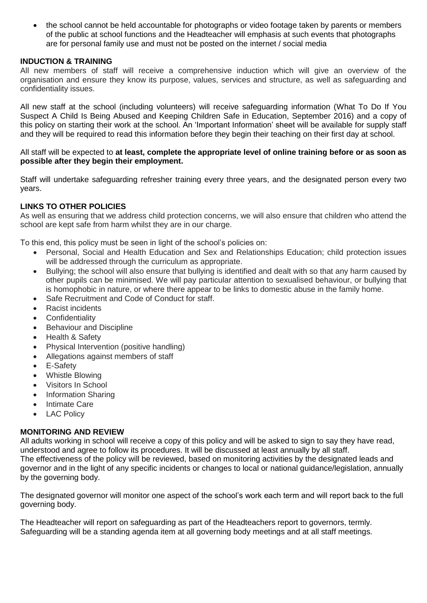the school cannot be held accountable for photographs or video footage taken by parents or members of the public at school functions and the Headteacher will emphasis at such events that photographs are for personal family use and must not be posted on the internet / social media

#### **INDUCTION & TRAINING**

All new members of staff will receive a comprehensive induction which will give an overview of the organisation and ensure they know its purpose, values, services and structure, as well as safeguarding and confidentiality issues.

All new staff at the school (including volunteers) will receive safeguarding information (What To Do If You Suspect A Child Is Being Abused and Keeping Children Safe in Education, September 2016) and a copy of this policy on starting their work at the school. An 'Important Information' sheet will be available for supply staff and they will be required to read this information before they begin their teaching on their first day at school.

#### All staff will be expected to **at least, complete the appropriate level of online training before or as soon as possible after they begin their employment.**

Staff will undertake safeguarding refresher training every three years, and the designated person every two years.

#### **LINKS TO OTHER POLICIES**

As well as ensuring that we address child protection concerns, we will also ensure that children who attend the school are kept safe from harm whilst they are in our charge.

To this end, this policy must be seen in light of the school's policies on:

- Personal, Social and Health Education and Sex and Relationships Education; child protection issues will be addressed through the curriculum as appropriate.
- Bullying; the school will also ensure that bullying is identified and dealt with so that any harm caused by other pupils can be minimised. We will pay particular attention to sexualised behaviour, or bullying that is homophobic in nature, or where there appear to be links to domestic abuse in the family home.
- Safe Recruitment and Code of Conduct for staff.
- Racist incidents
- Confidentiality
- Behaviour and Discipline
- Health & Safety
- Physical Intervention (positive handling)
- Allegations against members of staff
- E-Safety
- Whistle Blowing
- Visitors In School
- Information Sharing
- Intimate Care
- LAC Policy

#### **MONITORING AND REVIEW**

All adults working in school will receive a copy of this policy and will be asked to sign to say they have read, understood and agree to follow its procedures. It will be discussed at least annually by all staff. The effectiveness of the policy will be reviewed, based on monitoring activities by the designated leads and governor and in the light of any specific incidents or changes to local or national guidance/legislation, annually by the governing body.

The designated governor will monitor one aspect of the school's work each term and will report back to the full governing body.

The Headteacher will report on safeguarding as part of the Headteachers report to governors, termly. Safeguarding will be a standing agenda item at all governing body meetings and at all staff meetings.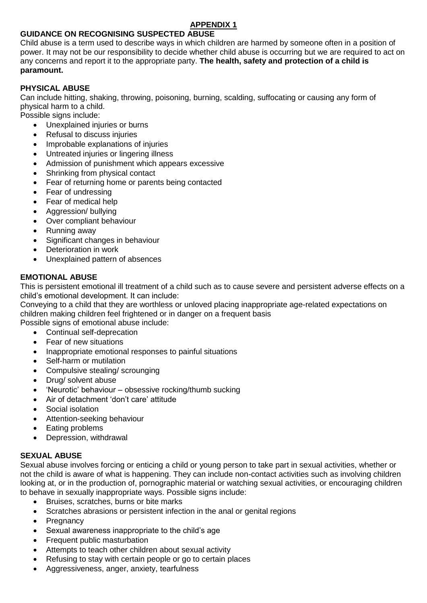### **APPENDIX 1**

### **GUIDANCE ON RECOGNISING SUSPECTED ABUSE**

Child abuse is a term used to describe ways in which children are harmed by someone often in a position of power. It may not be our responsibility to decide whether child abuse is occurring but we are required to act on any concerns and report it to the appropriate party. **The health, safety and protection of a child is paramount.** 

#### **PHYSICAL ABUSE**

Can include hitting, shaking, throwing, poisoning, burning, scalding, suffocating or causing any form of physical harm to a child.

Possible signs include:

- Unexplained injuries or burns
- Refusal to discuss injuries
- Improbable explanations of injuries
- Untreated injuries or lingering illness
- Admission of punishment which appears excessive
- Shrinking from physical contact
- Fear of returning home or parents being contacted
- Fear of undressing
- Fear of medical help
- Aggression/ bullying
- Over compliant behaviour
- Running away
- Significant changes in behaviour
- Deterioration in work
- Unexplained pattern of absences

#### **EMOTIONAL ABUSE**

This is persistent emotional ill treatment of a child such as to cause severe and persistent adverse effects on a child's emotional development. It can include:

Conveying to a child that they are worthless or unloved placing inappropriate age-related expectations on children making children feel frightened or in danger on a frequent basis

Possible signs of emotional abuse include:

- Continual self-deprecation
- Fear of new situations
- Inappropriate emotional responses to painful situations
- Self-harm or mutilation
- Compulsive stealing/ scrounging
- Drug/ solvent abuse
- 'Neurotic' behaviour obsessive rocking/thumb sucking
- Air of detachment 'don't care' attitude
- Social isolation
- Attention-seeking behaviour
- Eating problems
- Depression, withdrawal

#### **SEXUAL ABUSE**

Sexual abuse involves forcing or enticing a child or young person to take part in sexual activities, whether or not the child is aware of what is happening. They can include non-contact activities such as involving children looking at, or in the production of, pornographic material or watching sexual activities, or encouraging children to behave in sexually inappropriate ways. Possible signs include:

- Bruises, scratches, burns or bite marks
- Scratches abrasions or persistent infection in the anal or genital regions
- Pregnancy
- Sexual awareness inappropriate to the child's age
- Frequent public masturbation
- Attempts to teach other children about sexual activity
- Refusing to stay with certain people or go to certain places
- Aggressiveness, anger, anxiety, tearfulness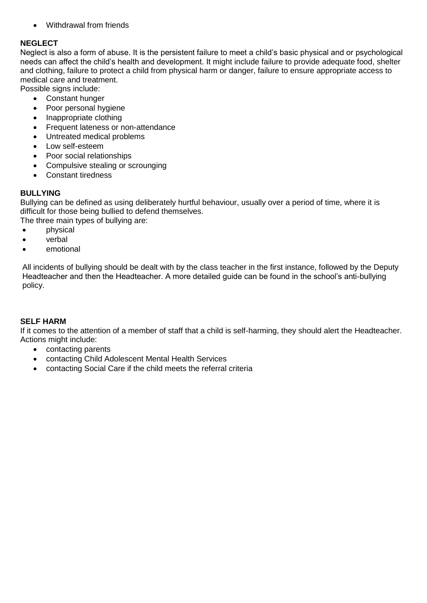Withdrawal from friends

#### **NEGLECT**

Neglect is also a form of abuse. It is the persistent failure to meet a child's basic physical and or psychological needs can affect the child's health and development. It might include failure to provide adequate food, shelter and clothing, failure to protect a child from physical harm or danger, failure to ensure appropriate access to medical care and treatment.

Possible signs include: Constant hunger

- Poor personal hygiene
- Inappropriate clothing
- Frequent lateness or non-attendance
- Untreated medical problems
- Low self-esteem
- Poor social relationships
- Compulsive stealing or scrounging
- Constant tiredness

#### **BULLYING**

Bullying can be defined as using deliberately hurtful behaviour, usually over a period of time, where it is difficult for those being bullied to defend themselves.

The three main types of bullying are:

- physical
- verbal
- emotional

All incidents of bullying should be dealt with by the class teacher in the first instance, followed by the Deputy Headteacher and then the Headteacher. A more detailed guide can be found in the school's anti-bullying policy.

#### **SELF HARM**

If it comes to the attention of a member of staff that a child is self-harming, they should alert the Headteacher. Actions might include:

- contacting parents
- contacting Child Adolescent Mental Health Services
- contacting Social Care if the child meets the referral criteria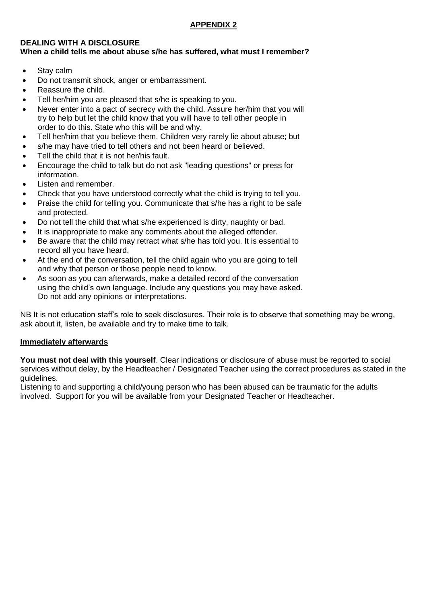#### **DEALING WITH A DISCLOSURE When a child tells me about abuse s/he has suffered, what must I remember?**

- Stay calm
- Do not transmit shock, anger or embarrassment.
- Reassure the child.
- Tell her/him you are pleased that s/he is speaking to you.
- Never enter into a pact of secrecy with the child. Assure her/him that you will try to help but let the child know that you will have to tell other people in order to do this. State who this will be and why.
- Tell her/him that you believe them. Children very rarely lie about abuse; but
- s/he may have tried to tell others and not been heard or believed.
- Tell the child that it is not her/his fault.
- Encourage the child to talk but do not ask "leading questions" or press for information.
- Listen and remember.
- Check that you have understood correctly what the child is trying to tell you.
- Praise the child for telling you. Communicate that s/he has a right to be safe and protected.
- Do not tell the child that what s/he experienced is dirty, naughty or bad.
- It is inappropriate to make any comments about the alleged offender.
- Be aware that the child may retract what s/he has told you. It is essential to record all you have heard.
- At the end of the conversation, tell the child again who you are going to tell and why that person or those people need to know.
- As soon as you can afterwards, make a detailed record of the conversation using the child's own language. Include any questions you may have asked. Do not add any opinions or interpretations.

NB It is not education staff's role to seek disclosures. Their role is to observe that something may be wrong, ask about it, listen, be available and try to make time to talk.

#### **Immediately afterwards**

**You must not deal with this yourself**. Clear indications or disclosure of abuse must be reported to social services without delay, by the Headteacher / Designated Teacher using the correct procedures as stated in the guidelines.

Listening to and supporting a child/young person who has been abused can be traumatic for the adults involved. Support for you will be available from your Designated Teacher or Headteacher.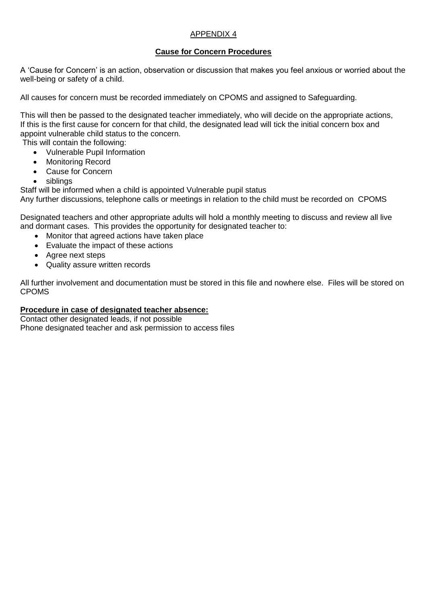#### APPENDIX 4

#### **Cause for Concern Procedures**

A 'Cause for Concern' is an action, observation or discussion that makes you feel anxious or worried about the well-being or safety of a child.

All causes for concern must be recorded immediately on CPOMS and assigned to Safeguarding.

This will then be passed to the designated teacher immediately, who will decide on the appropriate actions, If this is the first cause for concern for that child, the designated lead will tick the initial concern box and appoint vulnerable child status to the concern.

This will contain the following:

- Vulnerable Pupil Information
- Monitoring Record
- Cause for Concern
- siblings

Staff will be informed when a child is appointed Vulnerable pupil status

Any further discussions, telephone calls or meetings in relation to the child must be recorded on CPOMS

Designated teachers and other appropriate adults will hold a monthly meeting to discuss and review all live and dormant cases. This provides the opportunity for designated teacher to:

- Monitor that agreed actions have taken place
- Evaluate the impact of these actions
- Agree next steps
- Quality assure written records

All further involvement and documentation must be stored in this file and nowhere else. Files will be stored on CPOMS

#### **Procedure in case of designated teacher absence:**

Contact other designated leads, if not possible Phone designated teacher and ask permission to access files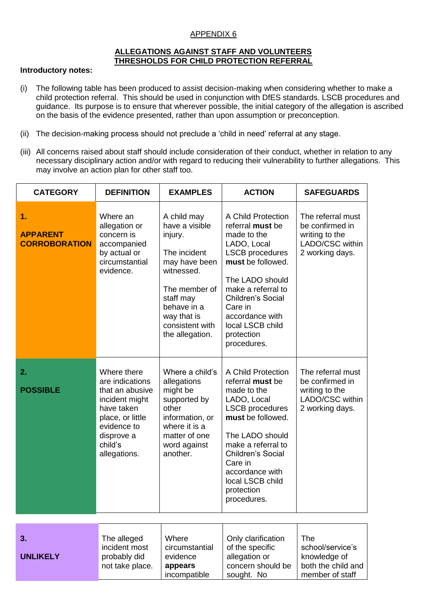#### APPENDIX 6

#### **ALLEGATIONS AGAINST STAFF AND VOLUNTEERS THRESHOLDS FOR CHILD PROTECTION REFERRAL**

#### **Introductory notes:**

- (i) The following table has been produced to assist decision-making when considering whether to make a child protection referral. This should be used in conjunction with DfES standards. LSCB procedures and guidance. Its purpose is to ensure that wherever possible, the initial category of the allegation is ascribed on the basis of the evidence presented, rather than upon assumption or preconception.
- (ii) The decision-making process should not preclude a 'child in need' referral at any stage.
- (iii) All concerns raised about staff should include consideration of their conduct, whether in relation to any necessary disciplinary action and/or with regard to reducing their vulnerability to further allegations. This may involve an action plan for other staff too.

| <b>CATEGORY</b>                               | <b>DEFINITION</b>                                                                                                                                             | <b>EXAMPLES</b>                                                                                                                                                                           | <b>ACTION</b>                                                                                                                                                                                                                                                           | <b>SAFEGUARDS</b>                                                                            |
|-----------------------------------------------|---------------------------------------------------------------------------------------------------------------------------------------------------------------|-------------------------------------------------------------------------------------------------------------------------------------------------------------------------------------------|-------------------------------------------------------------------------------------------------------------------------------------------------------------------------------------------------------------------------------------------------------------------------|----------------------------------------------------------------------------------------------|
| 1.<br><b>APPARENT</b><br><b>CORROBORATION</b> | Where an<br>allegation or<br>concern is<br>accompanied<br>by actual or<br>circumstantial<br>evidence.                                                         | A child may<br>have a visible<br>injury.<br>The incident<br>may have been<br>witnessed.<br>The member of<br>staff may<br>behave in a<br>way that is<br>consistent with<br>the allegation. | A Child Protection<br>referral must be<br>made to the<br>LADO, Local<br><b>LSCB</b> procedures<br>must be followed.<br>The LADO should<br>make a referral to<br><b>Children's Social</b><br>Care in<br>accordance with<br>local LSCB child<br>protection<br>procedures. | The referral must<br>be confirmed in<br>writing to the<br>LADO/CSC within<br>2 working days. |
| 2.<br><b>POSSIBLE</b>                         | Where there<br>are indications<br>that an abusive<br>incident might<br>have taken<br>place, or little<br>evidence to<br>disprove a<br>child's<br>allegations. | Where a child's<br>allegations<br>might be<br>supported by<br>other<br>information, or<br>where it is a<br>matter of one<br>word against<br>another.                                      | A Child Protection<br>referral must be<br>made to the<br>LADO, Local<br><b>LSCB</b> procedures<br>must be followed.<br>The LADO should<br>make a referral to<br><b>Children's Social</b><br>Care in<br>accordance with<br>local LSCB child<br>protection<br>procedures. | The referral must<br>be confirmed in<br>writing to the<br>LADO/CSC within<br>2 working days. |
|                                               |                                                                                                                                                               |                                                                                                                                                                                           |                                                                                                                                                                                                                                                                         |                                                                                              |
| 3.<br><b>UNLIKELY</b>                         | The alleged<br>incident most<br>probably did<br>not take place.                                                                                               | Where<br>circumstantial<br>evidence<br>appears<br>incompatible                                                                                                                            | Only clarification<br>of the specific<br>allegation or<br>concern should be<br>sought. No                                                                                                                                                                               | The<br>school/service's<br>knowledge of<br>both the child and<br>member of staff             |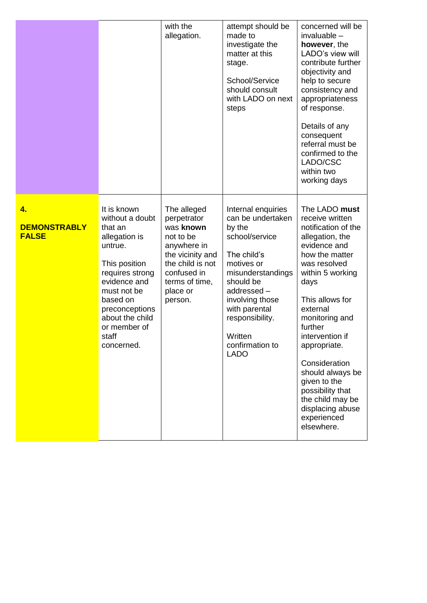|                                           |                                                                                                                                                                                                                                  | with the<br>allegation.                                                                                                                                             | attempt should be<br>made to<br>investigate the<br>matter at this<br>stage.<br>School/Service<br>should consult<br>with LADO on next<br>steps                                                                                                        | concerned will be<br>$invalvable -$<br>however, the<br>LADO's view will<br>contribute further<br>objectivity and<br>help to secure<br>consistency and<br>appropriateness<br>of response.<br>Details of any<br>consequent<br>referral must be<br>confirmed to the<br>LADO/CSC<br>within two<br>working days                                                                                            |
|-------------------------------------------|----------------------------------------------------------------------------------------------------------------------------------------------------------------------------------------------------------------------------------|---------------------------------------------------------------------------------------------------------------------------------------------------------------------|------------------------------------------------------------------------------------------------------------------------------------------------------------------------------------------------------------------------------------------------------|-------------------------------------------------------------------------------------------------------------------------------------------------------------------------------------------------------------------------------------------------------------------------------------------------------------------------------------------------------------------------------------------------------|
| 4.<br><b>DEMONSTRABLY</b><br><b>FALSE</b> | It is known<br>without a doubt<br>that an<br>allegation is<br>untrue.<br>This position<br>requires strong<br>evidence and<br>must not be<br>based on<br>preconceptions<br>about the child<br>or member of<br>staff<br>concerned. | The alleged<br>perpetrator<br>was known<br>not to be<br>anywhere in<br>the vicinity and<br>the child is not<br>confused in<br>terms of time,<br>place or<br>person. | Internal enquiries<br>can be undertaken<br>by the<br>school/service<br>The child's<br>motives or<br>misunderstandings<br>should be<br>addressed-<br>involving those<br>with parental<br>responsibility.<br>Written<br>confirmation to<br><b>LADO</b> | The LADO must<br>receive written<br>notification of the<br>allegation, the<br>evidence and<br>how the matter<br>was resolved<br>within 5 working<br>days<br>This allows for<br>external<br>monitoring and<br>further<br>intervention if<br>appropriate.<br>Consideration<br>should always be<br>given to the<br>possibility that<br>the child may be<br>displacing abuse<br>experienced<br>elsewhere. |